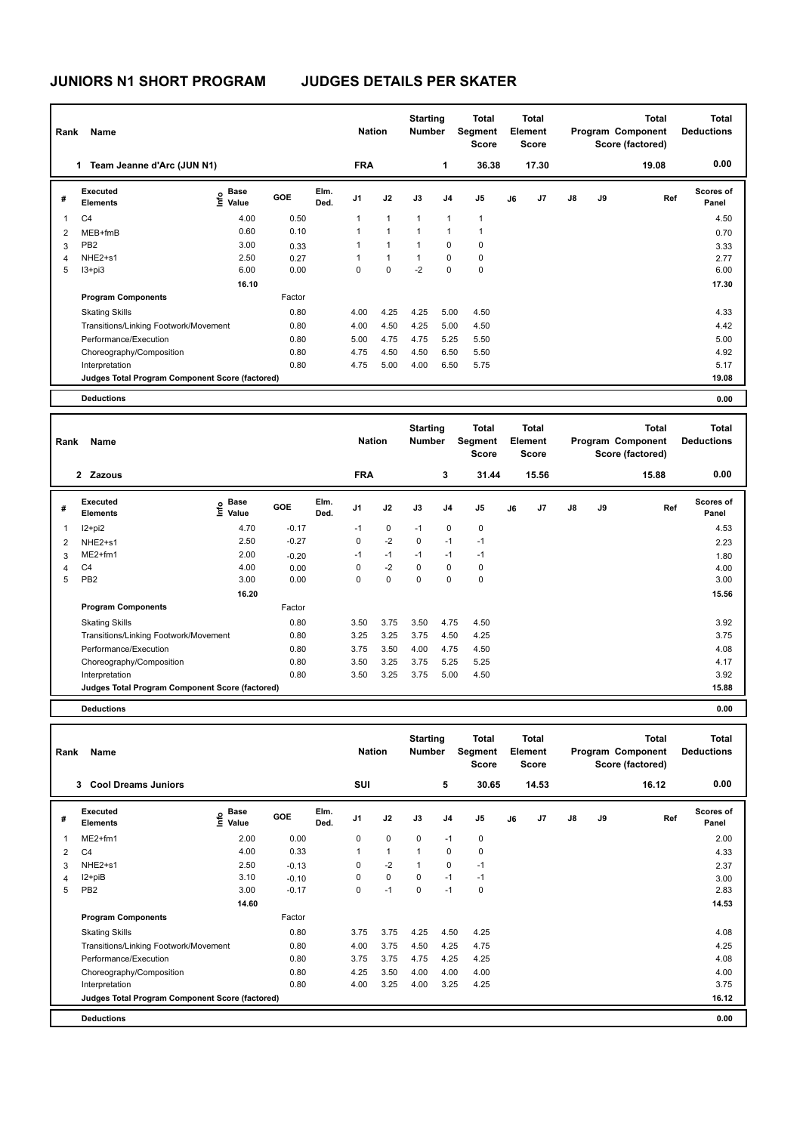| Name<br>Rank   |                                                 |                                           |            | <b>Nation</b> |                | <b>Starting</b><br><b>Number</b> |              | <b>Total</b><br>Segment<br>Score | Total<br>Element<br><b>Score</b> |    |                |               | Total<br>Program Component<br>Score (factored) | Total<br><b>Deductions</b> |                           |
|----------------|-------------------------------------------------|-------------------------------------------|------------|---------------|----------------|----------------------------------|--------------|----------------------------------|----------------------------------|----|----------------|---------------|------------------------------------------------|----------------------------|---------------------------|
|                | Team Jeanne d'Arc (JUN N1)<br>1                 |                                           |            |               | <b>FRA</b>     |                                  |              | 1                                | 36.38                            |    | 17.30          |               |                                                | 19.08                      | 0.00                      |
| #              | Executed<br><b>Elements</b>                     | $\frac{e}{E}$ Base<br>$\frac{e}{E}$ Value | <b>GOE</b> | Elm.<br>Ded.  | J <sub>1</sub> | J2                               | J3           | J <sub>4</sub>                   | J <sub>5</sub>                   | J6 | J <sub>7</sub> | $\mathsf{J}8$ | J9                                             | Ref                        | <b>Scores of</b><br>Panel |
| 1              | C <sub>4</sub>                                  | 4.00                                      | 0.50       |               |                | $\mathbf{1}$                     | $\mathbf{1}$ | 1                                | 1                                |    |                |               |                                                |                            | 4.50                      |
| $\overline{2}$ | MEB+fmB                                         | 0.60                                      | 0.10       |               |                | 1                                | $\mathbf{1}$ | 1                                | 1                                |    |                |               |                                                |                            | 0.70                      |
| 3              | PB <sub>2</sub>                                 | 3.00                                      | 0.33       |               |                | $\mathbf{1}$                     | 1            | 0                                | $\mathbf 0$                      |    |                |               |                                                |                            | 3.33                      |
| 4              | NHE <sub>2+s1</sub>                             | 2.50                                      | 0.27       |               |                | $\mathbf{1}$                     | $\mathbf{1}$ | 0                                | 0                                |    |                |               |                                                |                            | 2.77                      |
| 5              | I3+pi3                                          | 6.00                                      | 0.00       |               | 0              | $\Omega$                         | $-2$         | $\Omega$                         | $\mathbf 0$                      |    |                |               |                                                |                            | 6.00                      |
|                |                                                 | 16.10                                     |            |               |                |                                  |              |                                  |                                  |    |                |               |                                                |                            | 17.30                     |
|                | <b>Program Components</b>                       |                                           | Factor     |               |                |                                  |              |                                  |                                  |    |                |               |                                                |                            |                           |
|                | <b>Skating Skills</b>                           |                                           | 0.80       |               | 4.00           | 4.25                             | 4.25         | 5.00                             | 4.50                             |    |                |               |                                                |                            | 4.33                      |
|                | Transitions/Linking Footwork/Movement           |                                           | 0.80       |               | 4.00           | 4.50                             | 4.25         | 5.00                             | 4.50                             |    |                |               |                                                |                            | 4.42                      |
|                | Performance/Execution                           |                                           | 0.80       |               | 5.00           | 4.75                             | 4.75         | 5.25                             | 5.50                             |    |                |               |                                                |                            | 5.00                      |
|                | Choreography/Composition                        |                                           | 0.80       |               | 4.75           | 4.50                             | 4.50         | 6.50                             | 5.50                             |    |                |               |                                                |                            | 4.92                      |
|                | Interpretation                                  |                                           | 0.80       |               | 4.75           | 5.00                             | 4.00         | 6.50                             | 5.75                             |    |                |               |                                                |                            | 5.17                      |
|                | Judges Total Program Component Score (factored) |                                           |            |               |                |                                  |              |                                  |                                  |    |                |               |                                                |                            | 19.08                     |
|                | <b>Deductions</b>                               |                                           |            |               |                |                                  |              |                                  |                                  |    |                |               |                                                |                            | 0.00                      |

| Name<br>Rank   |                                                 |                              |            |              | <b>Nation</b> |             | <b>Starting</b><br><b>Number</b> |                | <b>Total</b><br>Segment<br><b>Score</b> | Total<br>Element<br><b>Score</b> |       | Program Component<br>Score (factored) |    | Total | Total<br><b>Deductions</b> |
|----------------|-------------------------------------------------|------------------------------|------------|--------------|---------------|-------------|----------------------------------|----------------|-----------------------------------------|----------------------------------|-------|---------------------------------------|----|-------|----------------------------|
|                | 2 Zazous                                        |                              |            |              | <b>FRA</b>    |             |                                  | 3              | 31.44                                   |                                  | 15.56 |                                       |    | 15.88 | 0.00                       |
| #              | Executed<br><b>Elements</b>                     | <b>Base</b><br>lnfo<br>Value | <b>GOE</b> | Elm.<br>Ded. | J1            | J2          | J3                               | J <sub>4</sub> | J <sub>5</sub>                          | J6                               | J7    | $\mathsf{J}8$                         | J9 | Ref   | <b>Scores of</b><br>Panel  |
|                | I2+pi2                                          | 4.70                         | $-0.17$    |              | $-1$          | $\mathbf 0$ | $-1$                             | 0              | 0                                       |                                  |       |                                       |    |       | 4.53                       |
| $\overline{2}$ | NHE2+s1                                         | 2.50                         | $-0.27$    |              | 0             | $-2$        | 0                                | $-1$           | $-1$                                    |                                  |       |                                       |    |       | 2.23                       |
| 3              | ME2+fm1                                         | 2.00                         | $-0.20$    |              | $-1$          | $-1$        | $-1$                             | $-1$           | $-1$                                    |                                  |       |                                       |    |       | 1.80                       |
| 4              | C <sub>4</sub>                                  | 4.00                         | 0.00       |              | 0             | $-2$        | 0                                | 0              | 0                                       |                                  |       |                                       |    |       | 4.00                       |
| 5              | PB <sub>2</sub>                                 | 3.00                         | 0.00       |              | 0             | 0           | 0                                | 0              | 0                                       |                                  |       |                                       |    |       | 3.00                       |
|                |                                                 | 16.20                        |            |              |               |             |                                  |                |                                         |                                  |       |                                       |    |       | 15.56                      |
|                | <b>Program Components</b>                       |                              | Factor     |              |               |             |                                  |                |                                         |                                  |       |                                       |    |       |                            |
|                | <b>Skating Skills</b>                           |                              | 0.80       |              | 3.50          | 3.75        | 3.50                             | 4.75           | 4.50                                    |                                  |       |                                       |    |       | 3.92                       |
|                | Transitions/Linking Footwork/Movement<br>0.80   |                              |            |              | 3.25          | 3.25        | 3.75                             | 4.50           | 4.25                                    |                                  |       |                                       |    |       | 3.75                       |
|                | Performance/Execution                           |                              | 0.80       |              | 3.75          | 3.50        | 4.00                             | 4.75           | 4.50                                    |                                  |       |                                       |    |       | 4.08                       |
|                | Choreography/Composition                        |                              | 0.80       |              | 3.50          | 3.25        | 3.75                             | 5.25           | 5.25                                    |                                  |       |                                       |    |       | 4.17                       |
|                | Interpretation                                  |                              | 0.80       |              | 3.50          | 3.25        | 3.75                             | 5.00           | 4.50                                    |                                  |       |                                       |    |       | 3.92                       |
|                | Judges Total Program Component Score (factored) |                              |            |              |               |             |                                  |                |                                         |                                  |       |                                       |    |       | 15.88                      |
|                | <b>Doductions</b>                               |                              |            |              |               |             |                                  |                |                                         |                                  |       |                                       |    |       | 0.00                       |

**Deductions 0.00**

|                | Name<br>Rank                                    |                        |         |              | <b>Nation</b> |              | <b>Starting</b><br><b>Number</b> |                | <b>Total</b><br>Segment<br><b>Score</b> | <b>Total</b><br>Element<br><b>Score</b> |                |               |    | <b>Total</b><br>Program Component<br>Score (factored) | Total<br><b>Deductions</b> |
|----------------|-------------------------------------------------|------------------------|---------|--------------|---------------|--------------|----------------------------------|----------------|-----------------------------------------|-----------------------------------------|----------------|---------------|----|-------------------------------------------------------|----------------------------|
|                | <b>Cool Dreams Juniors</b><br>3                 |                        |         |              | <b>SUI</b>    |              |                                  | 5              | 30.65                                   |                                         | 14.53          |               |    | 16.12                                                 | 0.00                       |
| #              | Executed<br><b>Elements</b>                     | $\sum_{i=1}^{5}$ Value | GOE     | Elm.<br>Ded. | J1            | J2           | J3                               | J <sub>4</sub> | J <sub>5</sub>                          | J6                                      | J <sub>7</sub> | $\mathsf{J}8$ | J9 | Ref                                                   | Scores of<br>Panel         |
|                | $ME2+fm1$                                       | 2.00                   | 0.00    |              | 0             | 0            | 0                                | $-1$           | 0                                       |                                         |                |               |    |                                                       | 2.00                       |
| $\overline{2}$ | C <sub>4</sub>                                  | 4.00                   | 0.33    |              | 1             | $\mathbf{1}$ | $\mathbf{1}$                     | $\Omega$       | 0                                       |                                         |                |               |    |                                                       | 4.33                       |
| 3              | NHE2+s1                                         | 2.50                   | $-0.13$ |              | 0             | $-2$         | $\mathbf{1}$                     | 0              | $-1$                                    |                                         |                |               |    |                                                       | 2.37                       |
| 4              | I2+piB                                          | 3.10                   | $-0.10$ |              | 0             | 0            | $\Omega$                         | $-1$           | $-1$                                    |                                         |                |               |    |                                                       | 3.00                       |
| 5              | PB <sub>2</sub>                                 | 3.00                   | $-0.17$ |              | 0             | $-1$         | 0                                | $-1$           | 0                                       |                                         |                |               |    |                                                       | 2.83                       |
|                |                                                 | 14.60                  |         |              |               |              |                                  |                |                                         |                                         |                |               |    |                                                       | 14.53                      |
|                | <b>Program Components</b>                       |                        | Factor  |              |               |              |                                  |                |                                         |                                         |                |               |    |                                                       |                            |
|                | <b>Skating Skills</b>                           |                        | 0.80    |              | 3.75          | 3.75         | 4.25                             | 4.50           | 4.25                                    |                                         |                |               |    |                                                       | 4.08                       |
|                | Transitions/Linking Footwork/Movement           |                        | 0.80    |              | 4.00          | 3.75         | 4.50                             | 4.25           | 4.75                                    |                                         |                |               |    |                                                       | 4.25                       |
|                | Performance/Execution                           |                        | 0.80    |              | 3.75          | 3.75         | 4.75                             | 4.25           | 4.25                                    |                                         |                |               |    |                                                       | 4.08                       |
|                | Choreography/Composition                        |                        | 0.80    |              | 4.25          | 3.50         | 4.00                             | 4.00           | 4.00                                    |                                         |                |               |    |                                                       | 4.00                       |
|                | Interpretation                                  |                        | 0.80    |              | 4.00          | 3.25         | 4.00                             | 3.25           | 4.25                                    |                                         |                |               |    |                                                       | 3.75                       |
|                | Judges Total Program Component Score (factored) |                        |         |              |               |              |                                  |                |                                         |                                         |                |               |    |                                                       | 16.12                      |
|                | <b>Deductions</b>                               |                        |         |              |               |              |                                  |                |                                         |                                         |                |               |    |                                                       | 0.00                       |